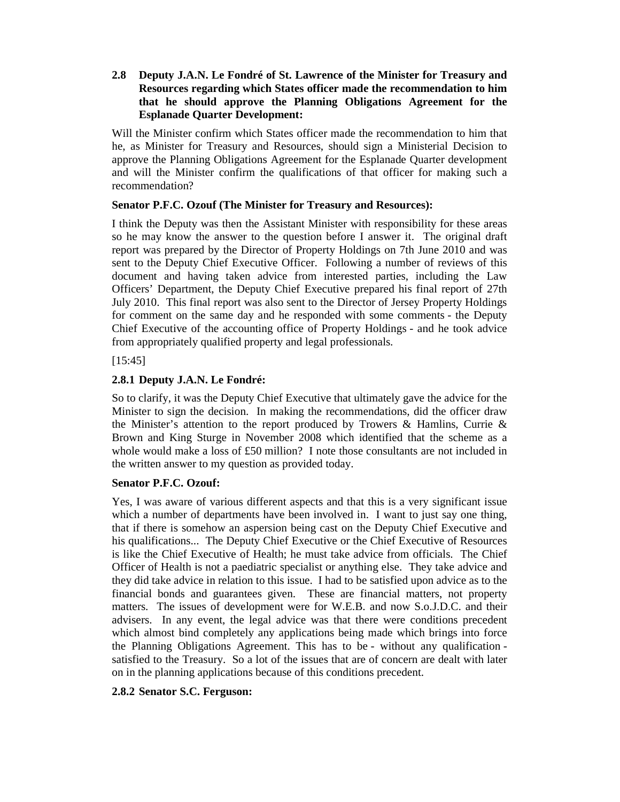**2.8 Deputy J.A.N. Le Fondré of St. Lawrence of the Minister for Treasury and Resources regarding which States officer made the recommendation to him that he should approve the Planning Obligations Agreement for the Esplanade Quarter Development:** 

Will the Minister confirm which States officer made the recommendation to him that he, as Minister for Treasury and Resources, should sign a Ministerial Decision to approve the Planning Obligations Agreement for the Esplanade Quarter development and will the Minister confirm the qualifications of that officer for making such a recommendation?

### **Senator P.F.C. Ozouf (The Minister for Treasury and Resources):**

I think the Deputy was then the Assistant Minister with responsibility for these areas so he may know the answer to the question before I answer it. The original draft report was prepared by the Director of Property Holdings on 7th June 2010 and was sent to the Deputy Chief Executive Officer. Following a number of reviews of this document and having taken advice from interested parties, including the Law Officers' Department, the Deputy Chief Executive prepared his final report of 27th July 2010. This final report was also sent to the Director of Jersey Property Holdings for comment on the same day and he responded with some comments - the Deputy Chief Executive of the accounting office of Property Holdings - and he took advice from appropriately qualified property and legal professionals.

[15:45]

# **2.8.1 Deputy J.A.N. Le Fondré:**

So to clarify, it was the Deputy Chief Executive that ultimately gave the advice for the Minister to sign the decision. In making the recommendations, did the officer draw the Minister's attention to the report produced by Trowers & Hamlins, Currie & Brown and King Sturge in November 2008 which identified that the scheme as a whole would make a loss of £50 million? I note those consultants are not included in the written answer to my question as provided today.

## **Senator P.F.C. Ozouf:**

Yes, I was aware of various different aspects and that this is a very significant issue which a number of departments have been involved in. I want to just say one thing, that if there is somehow an aspersion being cast on the Deputy Chief Executive and his qualifications... The Deputy Chief Executive or the Chief Executive of Resources is like the Chief Executive of Health; he must take advice from officials. The Chief Officer of Health is not a paediatric specialist or anything else. They take advice and they did take advice in relation to this issue. I had to be satisfied upon advice as to the financial bonds and guarantees given. These are financial matters, not property matters. The issues of development were for W.E.B. and now S.o.J.D.C. and their advisers. In any event, the legal advice was that there were conditions precedent which almost bind completely any applications being made which brings into force the Planning Obligations Agreement. This has to be - without any qualification satisfied to the Treasury. So a lot of the issues that are of concern are dealt with later on in the planning applications because of this conditions precedent.

## **2.8.2 Senator S.C. Ferguson:**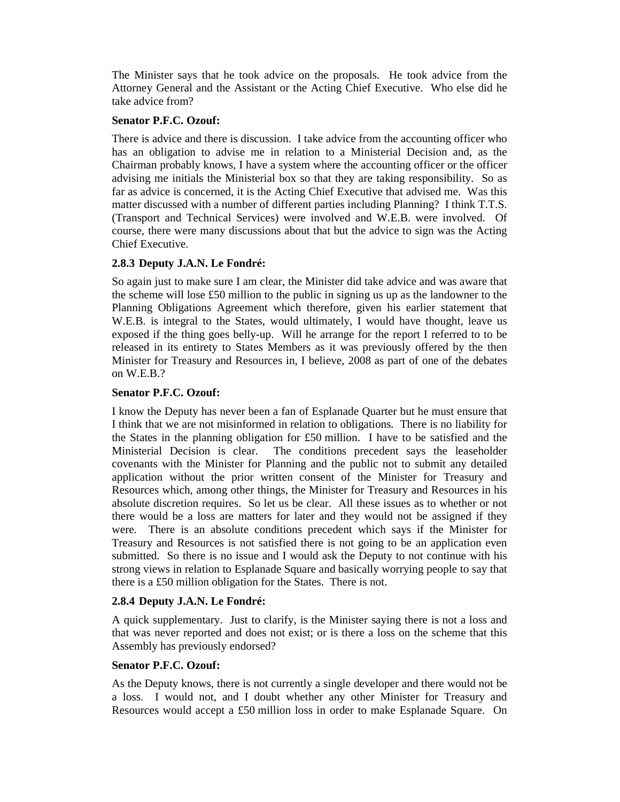The Minister says that he took advice on the proposals. He took advice from the Attorney General and the Assistant or the Acting Chief Executive. Who else did he take advice from?

#### **Senator P.F.C. Ozouf:**

There is advice and there is discussion. I take advice from the accounting officer who has an obligation to advise me in relation to a Ministerial Decision and, as the Chairman probably knows, I have a system where the accounting officer or the officer advising me initials the Ministerial box so that they are taking responsibility. So as far as advice is concerned, it is the Acting Chief Executive that advised me. Was this matter discussed with a number of different parties including Planning? I think T.T.S. (Transport and Technical Services) were involved and W.E.B. were involved. Of course, there were many discussions about that but the advice to sign was the Acting Chief Executive.

### **2.8.3 Deputy J.A.N. Le Fondré:**

So again just to make sure I am clear, the Minister did take advice and was aware that the scheme will lose £50 million to the public in signing us up as the landowner to the Planning Obligations Agreement which therefore, given his earlier statement that W.E.B. is integral to the States, would ultimately, I would have thought, leave us exposed if the thing goes belly-up. Will he arrange for the report I referred to to be released in its entirety to States Members as it was previously offered by the then Minister for Treasury and Resources in, I believe, 2008 as part of one of the debates on W.E.B.?

### **Senator P.F.C. Ozouf:**

I know the Deputy has never been a fan of Esplanade Quarter but he must ensure that I think that we are not misinformed in relation to obligations. There is no liability for the States in the planning obligation for £50 million. I have to be satisfied and the Ministerial Decision is clear. The conditions precedent says the leaseholder covenants with the Minister for Planning and the public not to submit any detailed application without the prior written consent of the Minister for Treasury and Resources which, among other things, the Minister for Treasury and Resources in his absolute discretion requires. So let us be clear. All these issues as to whether or not there would be a loss are matters for later and they would not be assigned if they were. There is an absolute conditions precedent which says if the Minister for Treasury and Resources is not satisfied there is not going to be an application even submitted. So there is no issue and I would ask the Deputy to not continue with his strong views in relation to Esplanade Square and basically worrying people to say that there is a £50 million obligation for the States. There is not.

#### **2.8.4 Deputy J.A.N. Le Fondré:**

A quick supplementary. Just to clarify, is the Minister saying there is not a loss and that was never reported and does not exist; or is there a loss on the scheme that this Assembly has previously endorsed?

#### **Senator P.F.C. Ozouf:**

As the Deputy knows, there is not currently a single developer and there would not be a loss. I would not, and I doubt whether any other Minister for Treasury and Resources would accept a £50 million loss in order to make Esplanade Square. On